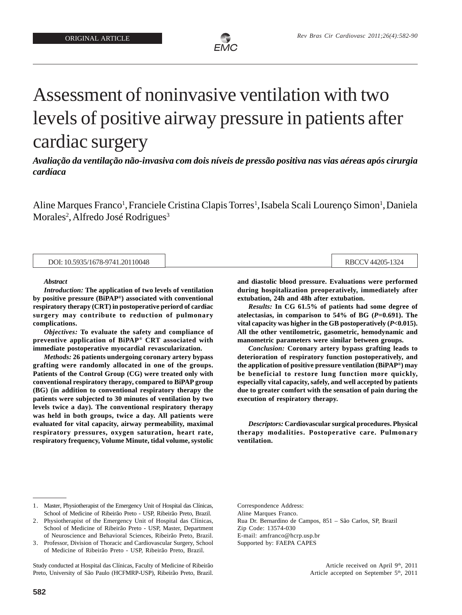

# Assessment of noninvasive ventilation with two levels of positive airway pressure in patients after cardiac surgery

*Avaliação da ventilação não-invasiva com dois níveis de pressão positiva nas vias aéreas após cirurgia cardíaca*

Aline Marques Franco<sup>1</sup>, Franciele Cristina Clapis Torres<sup>1</sup>, Isabela Scali Lourenço Simon<sup>1</sup>, Daniela Morales<sup>2</sup>, Alfredo José Rodrigues<sup>3</sup>

|  |  | DOI: 10.5935/1678-9741.20110048 |  |
|--|--|---------------------------------|--|
|  |  |                                 |  |

RBCCV 44205-1324

#### *Abstract*

*Introduction:* **The application of two levels of ventilation by positive pressure (BiPAP® ) associated with conventional respiratory therapy (CRT) in postoperative periord of cardiac surgery may contribute to reduction of pulmonary complications.**

*Objectives:* **To evaluate the safety and compliance of preventive application of BiPAP® CRT associated with immediate postoperative myocardial revascularization.**

*Methods:* **26 patients undergoing coronary artery bypass grafting were randomly allocated in one of the groups. Patients of the Control Group (CG) were treated only with conventional respiratory therapy, compared to BiPAP group (BG) (in addition to conventional respiratory therapy the patients were subjected to 30 minutes of ventilation by two levels twice a day). The conventional respiratory therapy was held in both groups, twice a day. All patients were evaluated for vital capacity, airway permeability, maximal respiratory pressures, oxygen saturation, heart rate, respiratory frequency, Volume Minute, tidal volume, systolic** **and diastolic blood pressure. Evaluations were performed during hospitalization preoperatively, immediately after extubation, 24h and 48h after extubation.**

*Results:* **In CG 61.5% of patients had some degree of atelectasias, in comparison to 54% of BG (***P***=0.691). The vital capacity was higher in the GB postoperatively (***P***<0.015). All the other ventilometric, gasometric, hemodynamic and manometric parameters were similar between groups.**

*Conclusion:* **Coronary artery bypass grafting leads to deterioration of respiratory function postoperatively, and the application of positive pressure ventilation (BiPAP® ) may be beneficial to restore lung function more quickly, especially vital capacity, safely, and well accepted by patients due to greater comfort with the sensation of pain during the execution of respiratory therapy.**

*Descriptors:* **Cardiovascular surgical procedures. Physical therapy modalities. Postoperative care. Pulmonary ventilation.**

Study conducted at Hospital das Clínicas, Faculty of Medicine of Ribeirão Preto, University of São Paulo (HCFMRP-USP), Ribeirão Preto, Brazil. Correspondence Address: Aline Marques Franco. Rua Dr. Bernardino de Campos, 851 – São Carlos, SP, Brazil Zip Code: 13574-030 E-mail: amfranco@hcrp.usp.br Supported by: FAEPA CAPES

> Article received on April 9<sup>th</sup>, 2011 Article accepted on September 5<sup>th</sup>, 2011

<sup>1.</sup> Master, Physiotherapist of the Emergency Unit of Hospital das Clínicas, School of Medicine of Ribeirão Preto - USP, Ribeirão Preto, Brazil.

<sup>2.</sup> Physiotherapist of the Emergency Unit of Hospital das Clínicas, School of Medicine of Ribeirão Preto - USP, Master, Department of Neuroscience and Behavioral Sciences, Ribeirão Preto, Brazil.

<sup>3.</sup> Professor, Division of Thoracic and Cardiovascular Surgery, School of Medicine of Ribeirão Preto - USP, Ribeirão Preto, Brazil.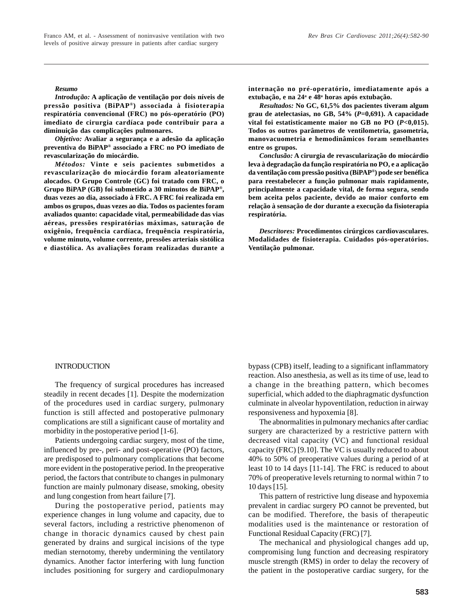#### *Resumo*

*Introdução:* **A aplicação de ventilação por dois níveis de pressão positiva (BiPAP® ) associada à fisioterapia respiratória convencional (FRC) no pós-operatório (PO) imediato de cirurgia cardíaca pode contribuir para a diminuição das complicações pulmonares.**

*Objetivo:* **Avaliar a segurança e a adesão da aplicação preventiva do BiPAP® associado a FRC no PO imediato de revascularização do miocárdio.**

*Métodos:* **Vinte e seis pacientes submetidos a revascularização do miocárdio foram aleatoriamente alocados. O Grupo Controle (GC) foi tratado com FRC, o Grupo BiPAP (GB) foi submetido a 30 minutos de BiPAP® , duas vezes ao dia, associado à FRC. A FRC foi realizada em ambos os grupos, duas vezes ao dia. Todos os pacientes foram avaliados quanto: capacidade vital, permeabilidade das vias aéreas, pressões respiratórias máximas, saturação de oxigênio, frequência cardíaca, frequência respiratória, volume minuto, volume corrente, pressões arteriais sistólica e diastólica. As avaliações foram realizadas durante a** **internação no pré-operatório, imediatamente após a extubação, e na 24<sup>a</sup> e 48<sup>a</sup> horas após extubação.**

*Resultados:* **No GC, 61,5% dos pacientes tiveram algum grau de atelectasias, no GB, 54% (***P***=0,691). A capacidade vital foi estatisticamente maior no GB no PO (***P***<0,015). Todos os outros parâmetros de ventilometria, gasometria, manovacuometria e hemodinâmicos foram semelhantes entre os grupos.**

*Conclusão:* **A cirurgia de revascularização do miocárdio leva à degradação da função respiratória no PO, e a aplicação da ventilação com pressão positiva (BiPAP® ) pode ser benéfica para reestabelecer a função pulmonar mais rapidamente, principalmente a capacidade vital, de forma segura, sendo bem aceita pelos paciente, devido ao maior conforto em relação à sensação de dor durante a execução da fisioterapia respiratória.**

*Descritores:* **Procedimentos cirúrgicos cardiovasculares. Modalidades de fisioterapia. Cuidados pós-operatórios. Ventilação pulmonar.**

#### **INTRODUCTION**

The frequency of surgical procedures has increased steadily in recent decades [1]. Despite the modernization of the procedures used in cardiac surgery, pulmonary function is still affected and postoperative pulmonary complications are still a significant cause of mortality and morbidity in the postoperative period [1-6].

Patients undergoing cardiac surgery, most of the time, influenced by pre-, peri- and post-operative (PO) factors, are predisposed to pulmonary complications that become more evident in the postoperative period. In the preoperative period, the factors that contribute to changes in pulmonary function are mainly pulmonary disease, smoking, obesity and lung congestion from heart failure [7].

During the postoperative period, patients may experience changes in lung volume and capacity, due to several factors, including a restrictive phenomenon of change in thoracic dynamics caused by chest pain generated by drains and surgical incisions of the type median sternotomy, thereby undermining the ventilatory dynamics. Another factor interfering with lung function includes positioning for surgery and cardiopulmonary bypass (CPB) itself, leading to a significant inflammatory reaction. Also anesthesia, as well as its time of use, lead to a change in the breathing pattern, which becomes superficial, which added to the diaphragmatic dysfunction culminate in alveolar hypoventilation, reduction in airway responsiveness and hypoxemia [8].

The abnormalities in pulmonary mechanics after cardiac surgery are characterized by a restrictive pattern with decreased vital capacity (VC) and functional residual capacity (FRC) [9.10]. The VC is usually reduced to about 40% to 50% of preoperative values during a period of at least 10 to 14 days [11-14]. The FRC is reduced to about 70% of preoperative levels returning to normal within 7 to 10 days [15].

This pattern of restrictive lung disease and hypoxemia prevalent in cardiac surgery PO cannot be prevented, but can be modified. Therefore, the basis of therapeutic modalities used is the maintenance or restoration of Functional Residual Capacity (FRC) [7].

The mechanical and physiological changes add up, compromising lung function and decreasing respiratory muscle strength (RMS) in order to delay the recovery of the patient in the postoperative cardiac surgery, for the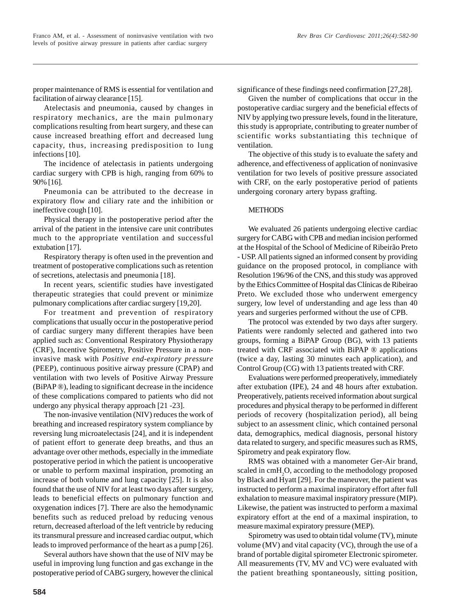proper maintenance of RMS is essential for ventilation and facilitation of airway clearance [15].

Atelectasis and pneumonia, caused by changes in respiratory mechanics, are the main pulmonary complications resulting from heart surgery, and these can cause increased breathing effort and decreased lung capacity, thus, increasing predisposition to lung infections [10].

The incidence of atelectasis in patients undergoing cardiac surgery with CPB is high, ranging from 60% to 90% [16].

Pneumonia can be attributed to the decrease in expiratory flow and ciliary rate and the inhibition or ineffective cough [10].

Physical therapy in the postoperative period after the arrival of the patient in the intensive care unit contributes much to the appropriate ventilation and successful extubation [17].

Respiratory therapy is often used in the prevention and treatment of postoperative complications such as retention of secretions, atelectasis and pneumonia [18].

In recent years, scientific studies have investigated therapeutic strategies that could prevent or minimize pulmonary complications after cardiac surgery [19,20].

For treatment and prevention of respiratory complications that usually occur in the postoperative period of cardiac surgery many different therapies have been applied such as: Conventional Respiratory Physiotherapy (CRF), Incentive Spirometry, Positive Pressure in a noninvasive mask with *Positive end-expiratory pressure* (PEEP), continuous positive airway pressure (CPAP) and ventilation with two levels of Positive Airway Pressure (BiPAP ®), leading to significant decrease in the incidence of these complications compared to patients who did not undergo any physical therapy approach [21 -23].

The non-invasive ventilation (NIV) reduces the work of breathing and increased respiratory system compliance by reversing lung microatelectasis [24], and it is independent of patient effort to generate deep breaths, and thus an advantage over other methods, especially in the immediate postoperative period in which the patient is uncooperative or unable to perform maximal inspiration, promoting an increase of both volume and lung capacity [25]. It is also found that the use of NIV for at least two days after surgery, leads to beneficial effects on pulmonary function and oxygenation indices [7]. There are also the hemodynamic benefits such as reduced preload by reducing venous return, decreased afterload of the left ventricle by reducing its transmural pressure and increased cardiac output, which leads to improved performance of the heart as a pump [26].

Several authors have shown that the use of NIV may be useful in improving lung function and gas exchange in the postoperative period of CABG surgery, however the clinical significance of these findings need confirmation [27,28].

Given the number of complications that occur in the postoperative cardiac surgery and the beneficial effects of NIV by applying two pressure levels, found in the literature, this study is appropriate, contributing to greater number of scientific works substantiating this technique of ventilation.

The objective of this study is to evaluate the safety and adherence, and effectiveness of application of noninvasive ventilation for two levels of positive pressure associated with CRF, on the early postoperative period of patients undergoing coronary artery bypass grafting.

## **METHODS**

We evaluated 26 patients undergoing elective cardiac surgery for CABG with CPB and median incision performed at the Hospital of the School of Medicine of Ribeirão Preto - USP. All patients signed an informed consent by providing guidance on the proposed protocol, in compliance with Resolution 196/96 of the CNS, and this study was approved by the Ethics Committee of Hospital das Clínicas de Ribeirao Preto. We excluded those who underwent emergency surgery, low level of understanding and age less than 40 years and surgeries performed without the use of CPB.

The protocol was extended by two days after surgery. Patients were randomly selected and gathered into two groups, forming a BiPAP Group (BG), with 13 patients treated with CRF associated with BiPAP ® applications (twice a day, lasting 30 minutes each application), and Control Group (CG) with 13 patients treated with CRF.

Evaluations were performed preoperatively, immediately after extubation (IPE), 24 and 48 hours after extubation. Preoperatively, patients received information about surgical procedures and physical therapy to be performed in different periods of recovery (hospitalization period), all being subject to an assessment clinic, which contained personal data, demographics, medical diagnosis, personal history data related to surgery, and specific measures such as RMS, Spirometry and peak expiratory flow.

RMS was obtained with a manometer Ger-Air brand, scaled in cmH<sub>2</sub>O, according to the methodology proposed by Black and Hyatt [29]. For the maneuver, the patient was instructed to perform a maximal inspiratory effort after full exhalation to measure maximal inspiratory pressure (MIP). Likewise, the patient was instructed to perform a maximal expiratory effort at the end of a maximal inspiration, to measure maximal expiratory pressure (MEP).

Spirometry was used to obtain tidal volume (TV), minute volume (MV) and vital capacity (VC), through the use of a brand of portable digital spirometer Electronic spirometer. All measurements (TV, MV and VC) were evaluated with the patient breathing spontaneously, sitting position,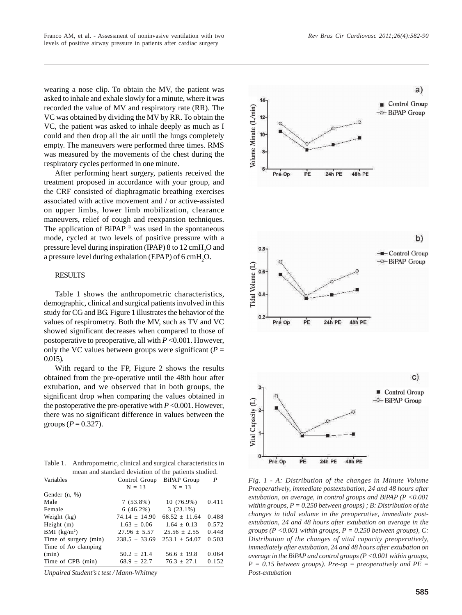wearing a nose clip. To obtain the MV, the patient was asked to inhale and exhale slowly for a minute, where it was recorded the value of MV and respiratory rate (RR). The VC was obtained by dividing the MV by RR. To obtain the VC, the patient was asked to inhale deeply as much as I could and then drop all the air until the lungs completely empty. The maneuvers were performed three times. RMS was measured by the movements of the chest during the respiratory cycles performed in one minute.

After performing heart surgery, patients received the treatment proposed in accordance with your group, and the CRF consisted of diaphragmatic breathing exercises associated with active movement and / or active-assisted on upper limbs, lower limb mobilization, clearance maneuvers, relief of cough and reexpansion techniques. The application of BiPAP  $\mathbb{P}$  was used in the spontaneous mode, cycled at two levels of positive pressure with a pressure level during inspiration (IPAP) 8 to 12 cmH<sub>2</sub>O and a pressure level during exhalation (EPAP) of 6 cmH<sub>2</sub>O.

# **RESULTS**

Table 1 shows the anthropometric characteristics, demographic, clinical and surgical patients involved in this study for CG and BG. Figure 1 illustrates the behavior of the values of respirometry. Both the MV, such as TV and VC showed significant decreases when compared to those of postoperative to preoperative, all with *P* <0.001. However, only the VC values between groups were significant ( $P =$ 0.015).

With regard to the FP, Figure 2 shows the results obtained from the pre-operative until the 48th hour after extubation, and we observed that in both groups, the significant drop when comparing the values obtained in the postoperative the pre-operative with  $P \le 0.001$ . However, there was no significant difference in values between the groups ( $P = 0.327$ ).

Table 1. Anthropometric, clinical and surgical characteristics in mean and standard deviation of the patients studied.

| Variables             | Control Group BiPAP Group |                 | P     |
|-----------------------|---------------------------|-----------------|-------|
|                       | $N = 13$                  | $N = 13$        |       |
| Gender $(n, %)$       |                           |                 |       |
| Male                  | $7(53.8\%)$               | $10(76.9\%)$    | 0.411 |
| Female                | $6(46.2\%)$               | $3(23.1\%)$     |       |
| Weight (kg)           | $74.14 \pm 14.90$         | $68.52 + 11.64$ | 0.488 |
| Height $(m)$          | $1.63 + 0.06$             | $1.64 + 0.13$   | 0.572 |
| BMI $(kg/m2)$         | $27.96 \pm 5.57$          | $25.56 + 2.55$  | 0.448 |
| Time of surgery (min) | $238.5 + 33.69$           | $253.1 + 54.07$ | 0.503 |
| Time of Ao clamping   |                           |                 |       |
| (min)                 | $50.2 \pm 21.4$           | $56.6 \pm 19.8$ | 0.064 |
| Time of CPB (min)     | $68.9 \pm 22.7$           | $76.3 \pm 27.1$ | 0.152 |

*Unpaired Student's t test / Mann-Whitney*



*Fig. 1 - A: Distribution of the changes in Minute Volume Preoperatively, immediate postextubation, 24 and 48 hours after extubation, on average, in control groups and BiPAP (P <0.001 within groups, P = 0.250 between groups) ; B: Distribution of the changes in tidal volume in the preoperative, immediate postextubation, 24 and 48 hours after extubation on average in the groups (P <0.001 within groups, P = 0.250 between groups), C: Distribution of the changes of vital capacity preoperatively, immediately after extubation, 24 and 48 hours after extubation on average in the BiPAP and control groups (P <0.001 within groups, P = 0.15 between groups). Pre-op = preoperatively and PE = Post-extubation*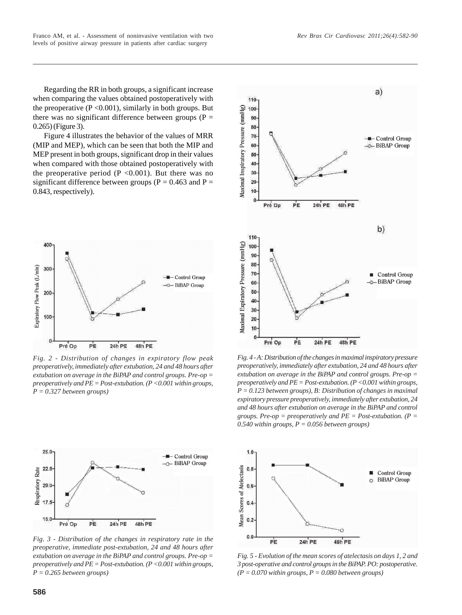Regarding the RR in both groups, a significant increase when comparing the values obtained postoperatively with the preoperative  $(P < 0.001)$ , similarly in both groups. But there was no significant difference between groups ( $P =$ 0.265) (Figure 3).

Figure 4 illustrates the behavior of the values of MRR (MIP and MEP), which can be seen that both the MIP and MEP present in both groups, significant drop in their values when compared with those obtained postoperatively with the preoperative period ( $P \le 0.001$ ). But there was no significant difference between groups ( $P = 0.463$  and  $P =$ 0.843, respectively).



*Fig. 2 - Distribution of changes in expiratory flow peak preoperatively, immediately after extubation, 24 and 48 hours after extubation on average in the BiPAP and control groups. Pre-op = preoperatively and PE = Post-extubation. (P <0.001 within groups, P = 0.327 between groups)*



*Fig. 3 - Distribution of the changes in respiratory rate in the preoperative, immediate post-extubation, 24 and 48 hours after extubation on average in the BiPAP and control groups. Pre-op = preoperatively and PE = Post-extubation. (P <0.001 within groups, P = 0.265 between groups)*



*Fig. 4 - A: Distribution of the changes in maximal inspiratory pressure preoperatively, immediately after extubation, 24 and 48 hours after extubation on average in the BiPAP and control groups. Pre-op = preoperatively and PE = Post-extubation. (P <0.001 within groups, P = 0.123 between groups), B: Distribution of changes in maximal expiratory pressure preoperatively, immediately after extubation, 24 and 48 hours after extubation on average in the BiPAP and control groups. Pre-op = preoperatively and PE = Post-extubation. (P = 0.540 within groups, P = 0.056 between groups)*



*Fig. 5 - Evolution of the mean scores of atelectasis on days 1, 2 and 3 post-operative and control groups in the BiPAP. PO: postoperative.*  $(P = 0.070$  within groups,  $P = 0.080$  between groups)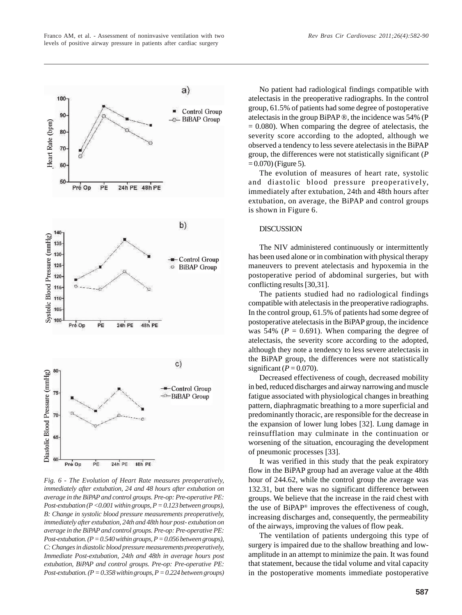

*Fig. 6 - The Evolution of Heart Rate measures preoperatively, immediately after extubation, 24 and 48 hours after extubation on average in the BiPAP and control groups. Pre-op: Pre-operative PE: Post-extubation (P <0.001 within groups, P = 0.123 between groups), B: Change in systolic blood pressure measurements preoperatively, immediately after extubation, 24th and 48th hour post- extubation on average in the BiPAP and control groups. Pre-op: Pre-operative PE: Post-extubation. (P = 0.540 within groups, P = 0.056 between groups), C: Changes in diastolic blood pressure measurements preoperatively,*

24h PE

**18h PE** 

65

Pre Op

PE

*Immediate Post-extubation, 24th and 48th in average hours post extubation, BiPAP and control groups. Pre-op: Pre-operative PE: Post-extubation. (P = 0.358 within groups, P = 0.224 between groups)*

No patient had radiological findings compatible with atelectasis in the preoperative radiographs. In the control group, 61.5% of patients had some degree of postoperative atelectasis in the group BiPAP ®, the incidence was 54% (P  $= 0.080$ ). When comparing the degree of atelectasis, the severity score according to the adopted, although we observed a tendency to less severe atelectasis in the BiPAP group, the differences were not statistically significant (*P*  $= 0.070$  (Figure 5).

The evolution of measures of heart rate, systolic and diastolic blood pressure preoperatively, immediately after extubation, 24th and 48th hours after extubation, on average, the BiPAP and control groups is shown in Figure 6.

# **DISCUSSION**

The NIV administered continuously or intermittently has been used alone or in combination with physical therapy maneuvers to prevent atelectasis and hypoxemia in the postoperative period of abdominal surgeries, but with conflicting results [30,31].

The patients studied had no radiological findings compatible with atelectasis in the preoperative radiographs. In the control group, 61.5% of patients had some degree of postoperative atelectasis in the BiPAP group, the incidence was 54% ( $P = 0.691$ ). When comparing the degree of atelectasis, the severity score according to the adopted, although they note a tendency to less severe atelectasis in the BiPAP group, the differences were not statistically significant  $(P = 0.070)$ .

Decreased effectiveness of cough, decreased mobility in bed, reduced discharges and airway narrowing and muscle fatigue associated with physiological changes in breathing pattern, diaphragmatic breathing to a more superficial and predominantly thoracic, are responsible for the decrease in the expansion of lower lung lobes [32]. Lung damage in reinsufflation may culminate in the continuation or worsening of the situation, encouraging the development of pneumonic processes [33].

It was verified in this study that the peak expiratory flow in the BiPAP group had an average value at the 48th hour of 244.62, while the control group the average was 132.31, but there was no significant difference between groups. We believe that the increase in the raid chest with the use of BiPAP® improves the effectiveness of cough, increasing discharges and, consequently, the permeability of the airways, improving the values of flow peak.

The ventilation of patients undergoing this type of surgery is impaired due to the shallow breathing and lowamplitude in an attempt to minimize the pain. It was found that statement, because the tidal volume and vital capacity in the postoperative moments immediate postoperative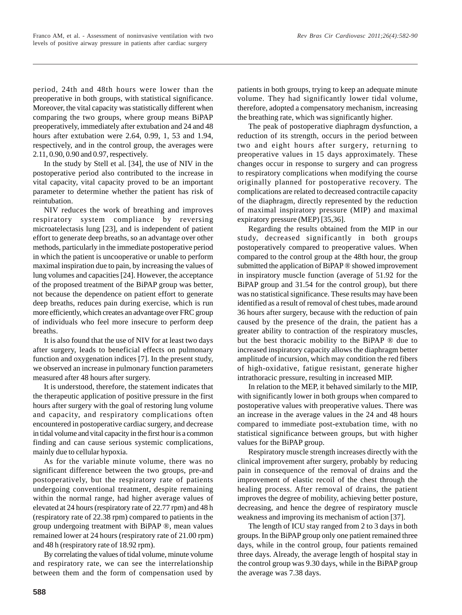*Rev Bras Cir Cardiovasc 2011;26(4):582-90*

period, 24th and 48th hours were lower than the preoperative in both groups, with statistical significance. Moreover, the vital capacity was statistically different when comparing the two groups, where group means BiPAP preoperatively, immediately after extubation and 24 and 48 hours after extubation were 2.64, 0.99, 1, 53 and 1.94, respectively, and in the control group, the averages were 2.11, 0.90, 0.90 and 0.97, respectively.

In the study by Stell et al. [34], the use of NIV in the postoperative period also contributed to the increase in vital capacity, vital capacity proved to be an important parameter to determine whether the patient has risk of reintubation.

NIV reduces the work of breathing and improves respiratory system compliance by reversing microatelectasis lung [23], and is independent of patient effort to generate deep breaths, so an advantage over other methods, particularly in the immediate postoperative period in which the patient is uncooperative or unable to perform maximal inspiration due to pain, by increasing the values of lung volumes and capacities [24]. However, the acceptance of the proposed treatment of the BiPAP group was better, not because the dependence on patient effort to generate deep breaths, reduces pain during exercise, which is run more efficiently, which creates an advantage over FRC group of individuals who feel more insecure to perform deep breaths.

It is also found that the use of NIV for at least two days after surgery, leads to beneficial effects on pulmonary function and oxygenation indices [7]. In the present study, we observed an increase in pulmonary function parameters measured after 48 hours after surgery.

It is understood, therefore, the statement indicates that the therapeutic application of positive pressure in the first hours after surgery with the goal of restoring lung volume and capacity, and respiratory complications often encountered in postoperative cardiac surgery, and decrease in tidal volume and vital capacity in the first hour is a common finding and can cause serious systemic complications, mainly due to cellular hypoxia.

As for the variable minute volume, there was no significant difference between the two groups, pre-and postoperatively, but the respiratory rate of patients undergoing conventional treatment, despite remaining within the normal range, had higher average values of elevated at 24 hours (respiratory rate of 22.77 rpm) and 48 h (respiratory rate of 22.38 rpm) compared to patients in the group undergoing treatment with BiPAP ®, mean values remained lower at 24 hours (respiratory rate of 21.00 rpm) and 48 h (respiratory rate of 18.92 rpm).

By correlating the values of tidal volume, minute volume and respiratory rate, we can see the interrelationship between them and the form of compensation used by patients in both groups, trying to keep an adequate minute volume. They had significantly lower tidal volume, therefore, adopted a compensatory mechanism, increasing the breathing rate, which was significantly higher.

The peak of postoperative diaphragm dysfunction, a reduction of its strength, occurs in the period between two and eight hours after surgery, returning to preoperative values in 15 days approximately. These changes occur in response to surgery and can progress to respiratory complications when modifying the course originally planned for postoperative recovery. The complications are related to decreased contractile capacity of the diaphragm, directly represented by the reduction of maximal inspiratory pressure (MIP) and maximal expiratory pressure (MEP) [35,36].

Regarding the results obtained from the MIP in our study, decreased significantly in both groups postoperatively compared to preoperative values. When compared to the control group at the 48th hour, the group submitted the application of BiPAP ® showed improvement in inspiratory muscle function (average of 51.92 for the BiPAP group and 31.54 for the control group), but there was no statistical significance. These results may have been identified as a result of removal of chest tubes, made around 36 hours after surgery, because with the reduction of pain caused by the presence of the drain, the patient has a greater ability to contraction of the respiratory muscles, but the best thoracic mobility to the BiPAP ® due to increased inspiratory capacity allows the diaphragm better amplitude of incursion, which may condition the red fibers of high-oxidative, fatigue resistant, generate higher intrathoracic pressure, resulting in increased MIP.

In relation to the MEP, it behaved similarly to the MIP, with significantly lower in both groups when compared to postoperative values with preoperative values. There was an increase in the average values in the 24 and 48 hours compared to immediate post-extubation time, with no statistical significance between groups, but with higher values for the BiPAP group.

Respiratory muscle strength increases directly with the clinical improvement after surgery, probably by reducing pain in consequence of the removal of drains and the improvement of elastic recoil of the chest through the healing process. After removal of drains, the patient improves the degree of mobility, achieving better posture, decreasing, and hence the degree of respiratory muscle weakness and improving its mechanism of action [37].

The length of ICU stay ranged from 2 to 3 days in both groups. In the BiPAP group only one patient remained three days, while in the control group, four patients remained three days. Already, the average length of hospital stay in the control group was 9.30 days, while in the BiPAP group the average was 7.38 days.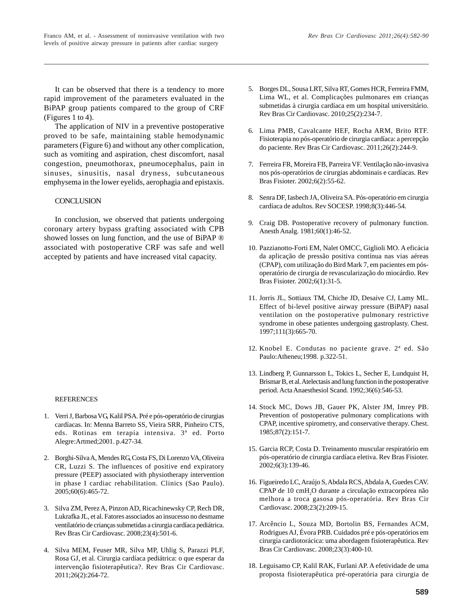The application of NIV in a preventive postoperative proved to be safe, maintaining stable hemodynamic parameters (Figure 6) and without any other complication, such as vomiting and aspiration, chest discomfort, nasal congestion, pneumothorax, pneumocephalus, pain in sinuses, sinusitis, nasal dryness, subcutaneous emphysema in the lower eyelids, aerophagia and epistaxis.

## **CONCLUSION**

In conclusion, we observed that patients undergoing coronary artery bypass grafting associated with CPB showed losses on lung function, and the use of BiPAP ® associated with postoperative CRF was safe and well accepted by patients and have increased vital capacity.

### REFERENCES

- 1. Verri J, Barbosa VG, Kalil PSA. Pré e pós-operatório de cirurgias cardíacas. In: Menna Barreto SS, Vieira SRR, Pinheiro CTS, eds. Rotinas em terapia intensiva. 3ª ed. Porto Alegre:Artmed;2001. p.427-34.
- 2. Borghi-Silva A, Mendes RG, Costa FS, Di Lorenzo VA, Oliveira CR, Luzzi S. The influences of positive end expiratory pressure (PEEP) associated with physiotherapy intervention in phase I cardiac rehabilitation. Clinics (Sao Paulo). 2005;60(6):465-72.
- 3. Silva ZM, Perez A, Pinzon AD, Ricachinewsky CP, Rech DR, Lukrafka JL, et al. Fatores associados ao insucesso no desmame ventilatório de crianças submetidas a cirurgia cardíaca pediátrica. Rev Bras Cir Cardiovasc. 2008;23(4):501-6.
- 4. Silva MEM, Feuser MR, Silva MP, Uhlig S, Parazzi PLF, Rosa GJ, et al. Cirurgia cardíaca pediátrica: o que esperar da intervenção fisioterapêutica?. Rev Bras Cir Cardiovasc. 2011;26(2):264-72.
- 5. Borges DL, Sousa LRT, Silva RT, Gomes HCR, Ferreira FMM, Lima WL, et al. Complicações pulmonares em crianças submetidas à cirurgia cardíaca em um hospital universitário. Rev Bras Cir Cardiovasc. 2010;25(2):234-7.
- 6. Lima PMB, Cavalcante HEF, Rocha ARM, Brito RTF. Fisioterapia no pós-operatório de cirurgia cardíaca: a percepção do paciente. Rev Bras Cir Cardiovasc. 2011;26(2):244-9.
- 7. Ferreira FR, Moreira FB, Parreira VF. Ventilação não-invasiva nos pós-operatórios de cirurgias abdominais e cardíacas. Rev Bras Fisioter. 2002;6(2):55-62.
- 8. Senra DF, Iasbech JA, Oliveira SA. Pós-operatório em cirurgia cardíaca de adultos. Rev SOCESP. 1998;8(3):446-54.
- 9. Craig DB. Postoperative recovery of pulmonary function. Anesth Analg. 1981;60(1):46-52.
- 10. Pazzianotto-Forti EM, Nalet OMCC, Giglioli MO. A eficácia da aplicação de pressão positiva contínua nas vias aéreas (CPAP), com utilização do Bird Mark 7, em pacientes em pósoperatório de cirurgia de revascularização do miocárdio. Rev Bras Fisioter. 2002;6(1):31-5.
- 11. Jorris JL, Sottiaux TM, Chiche JD, Desaive CJ, Lamy ML. Effect of bi-level positive airway pressure (BiPAP) nasal ventilation on the postoperative pulmonary restrictive syndrome in obese patientes undergoing gastroplasty. Chest. 1997;111(3):665-70.
- 12. Knobel E. Condutas no paciente grave. 2ª ed. São Paulo:Atheneu;1998. p.322-51.
- 13. Lindberg P, Gunnarsson L, Tokics L, Secher E, Lundquist H, Brismar B, et al. Atelectasis and lung function in the postoperative period. Acta Anaesthesiol Scand. 1992;36(6):546-53.
- 14. Stock MC, Dows JB, Gauer PK, Alster JM, Imrey PB. Prevention of postoperative pulmonary complications with CPAP, incentive spirometry, and conservative therapy. Chest. 1985;87(2):151-7.
- 15. Garcia RCP, Costa D. Treinamento muscular respiratório em pós-operatório de cirurgia cardíaca eletiva. Rev Bras Fisioter. 2002;6(3):139-46.
- 16. Figueiredo LC, Araújo S, Abdala RCS, Abdala A, Guedes CAV. CPAP de 10 cmH<sub>2</sub>O durante a circulação extracorpórea não melhora a troca gasosa pós-operatória. Rev Bras Cir Cardiovasc. 2008;23(2):209-15.
- 17. Arcêncio L, Souza MD, Bortolin BS, Fernandes ACM, Rodrigues AJ, Évora PRB. Cuidados pré e pós-operatórios em cirurgia cardiotorácica: uma abordagem fisioterapêutica. Rev Bras Cir Cardiovasc. 2008;23(3):400-10.
- 18. Leguisamo CP, Kalil RAK, Furlani AP. A efetividade de uma proposta fisioterapêutica pré-operatória para cirurgia de